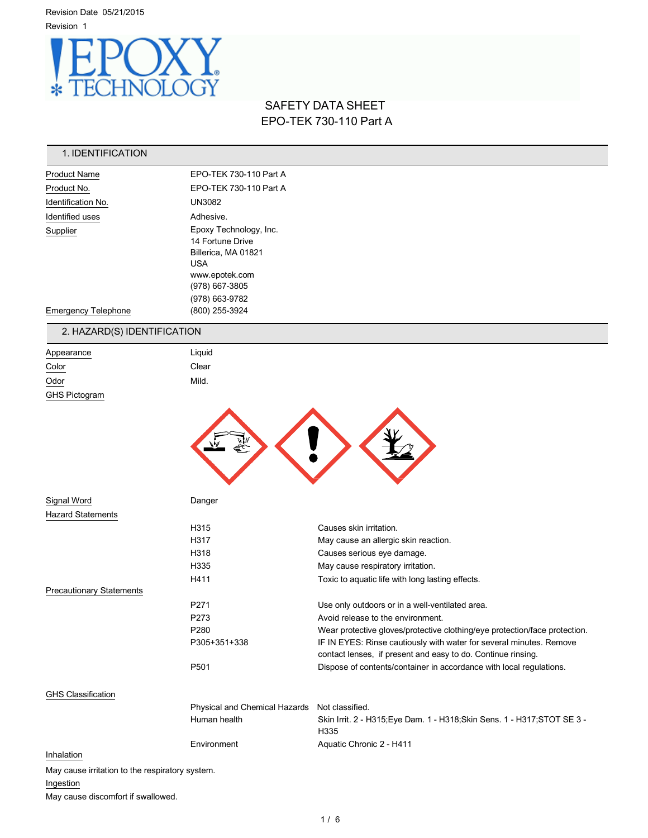Revision Date 05/21/2015 Revision 1



# SAFETY DATA SHEET EPO-TEK 730-110 Part A

| 1. IDENTIFICATION                               |                                               |                                                                                                                                     |
|-------------------------------------------------|-----------------------------------------------|-------------------------------------------------------------------------------------------------------------------------------------|
| <b>Product Name</b>                             | EPO-TEK 730-110 Part A                        |                                                                                                                                     |
| Product No.                                     | EPO-TEK 730-110 Part A                        |                                                                                                                                     |
| Identification No.                              | <b>UN3082</b>                                 |                                                                                                                                     |
| Identified uses                                 | Adhesive.                                     |                                                                                                                                     |
| Supplier                                        | Epoxy Technology, Inc.                        |                                                                                                                                     |
|                                                 | 14 Fortune Drive                              |                                                                                                                                     |
|                                                 | Billerica, MA 01821<br><b>USA</b>             |                                                                                                                                     |
|                                                 | www.epotek.com                                |                                                                                                                                     |
|                                                 | (978) 667-3805                                |                                                                                                                                     |
|                                                 | (978) 663-9782                                |                                                                                                                                     |
| <b>Emergency Telephone</b>                      | (800) 255-3924                                |                                                                                                                                     |
| 2. HAZARD(S) IDENTIFICATION                     |                                               |                                                                                                                                     |
| Appearance                                      | Liquid                                        |                                                                                                                                     |
| Color                                           | Clear                                         |                                                                                                                                     |
| Odor                                            | Mild.                                         |                                                                                                                                     |
| <b>GHS Pictogram</b>                            |                                               |                                                                                                                                     |
|                                                 |                                               |                                                                                                                                     |
| Signal Word                                     | Danger                                        |                                                                                                                                     |
| <b>Hazard Statements</b>                        |                                               |                                                                                                                                     |
|                                                 | H315                                          | Causes skin irritation.                                                                                                             |
|                                                 | H317                                          | May cause an allergic skin reaction.                                                                                                |
|                                                 | H318                                          | Causes serious eye damage.                                                                                                          |
|                                                 | H335                                          | May cause respiratory irritation.                                                                                                   |
| <b>Precautionary Statements</b>                 | H411                                          | Toxic to aquatic life with long lasting effects.                                                                                    |
|                                                 | P271                                          | Use only outdoors or in a well-ventilated area.                                                                                     |
|                                                 | P273                                          | Avoid release to the environment.                                                                                                   |
|                                                 | P280                                          | Wear protective gloves/protective clothing/eye protection/face protection.                                                          |
|                                                 | P305+351+338                                  | IF IN EYES: Rinse cautiously with water for several minutes. Remove<br>contact lenses, if present and easy to do. Continue rinsing. |
|                                                 | P501                                          | Dispose of contents/container in accordance with local regulations.                                                                 |
| <b>GHS Classification</b>                       |                                               |                                                                                                                                     |
|                                                 | Physical and Chemical Hazards Not classified. |                                                                                                                                     |
|                                                 | Human health                                  | Skin Irrit. 2 - H315; Eye Dam. 1 - H318; Skin Sens. 1 - H317; STOT SE 3 -<br>H335                                                   |
|                                                 | Environment                                   | Aquatic Chronic 2 - H411                                                                                                            |
| Inhalation                                      |                                               |                                                                                                                                     |
| May cause irritation to the respiratory system. |                                               |                                                                                                                                     |
| Ingestion                                       |                                               |                                                                                                                                     |

May cause discomfort if swallowed.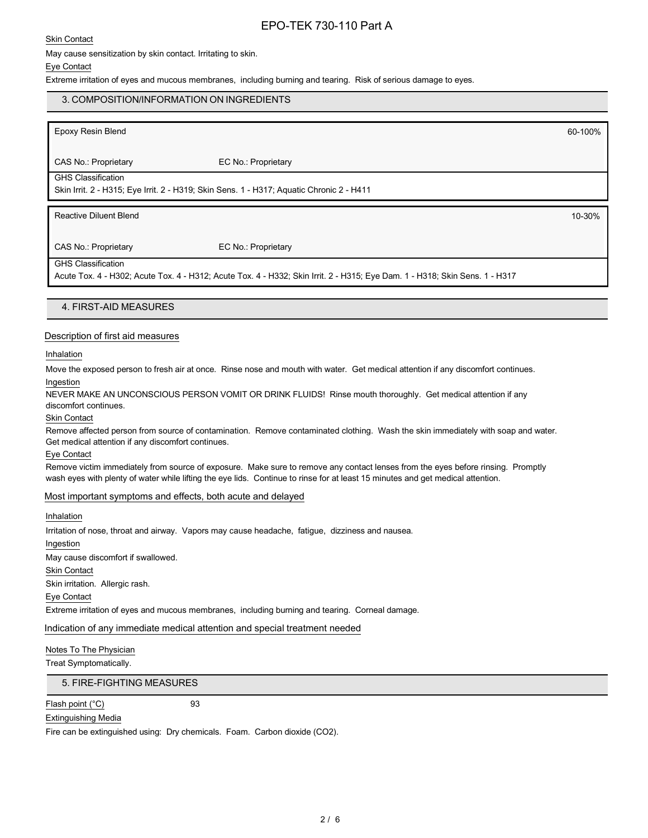Skin Contact

May cause sensitization by skin contact. Irritating to skin.

#### Eye Contact

Extreme irritation of eyes and mucous membranes, including burning and tearing. Risk of serious damage to eyes.

# Epoxy Resin Blend 60-100% CAS No.: Proprietary EC No.: Proprietary GHS Classification Skin Irrit. 2 - H315; Eye Irrit. 2 - H319; Skin Sens. 1 - H317; Aquatic Chronic 2 - H411 Reactive Diluent Blend 10-30% CAS No.: Proprietary EC No.: Proprietary GHS Classification Acute Tox. 4 - H302; Acute Tox. 4 - H312; Acute Tox. 4 - H332; Skin Irrit. 2 - H315; Eye Dam. 1 - H318; Skin Sens. 1 - H317 4. FIRST-AID MEASURES 3. COMPOSITION/INFORMATION ON INGREDIENTS

### Description of first aid measures

Inhalation

Move the exposed person to fresh air at once. Rinse nose and mouth with water. Get medical attention if any discomfort continues. Ingestion

NEVER MAKE AN UNCONSCIOUS PERSON VOMIT OR DRINK FLUIDS! Rinse mouth thoroughly. Get medical attention if any discomfort continues.

Skin Contact

Remove affected person from source of contamination. Remove contaminated clothing. Wash the skin immediately with soap and water. Get medical attention if any discomfort continues.

Eye Contact

Remove victim immediately from source of exposure. Make sure to remove any contact lenses from the eyes before rinsing. Promptly wash eyes with plenty of water while lifting the eye lids. Continue to rinse for at least 15 minutes and get medical attention.

#### Most important symptoms and effects, both acute and delayed

Inhalation

Irritation of nose, throat and airway. Vapors may cause headache, fatigue, dizziness and nausea.

Ingestion

May cause discomfort if swallowed.

Skin Contact

Skin irritation. Allergic rash.

Eye Contact

Extreme irritation of eyes and mucous membranes, including burning and tearing. Corneal damage.

Indication of any immediate medical attention and special treatment needed

Notes To The Physician

Treat Symptomatically.

5. FIRE-FIGHTING MEASURES

Flash point (°C) 93

Extinguishing Media

Fire can be extinguished using: Dry chemicals. Foam. Carbon dioxide (CO2).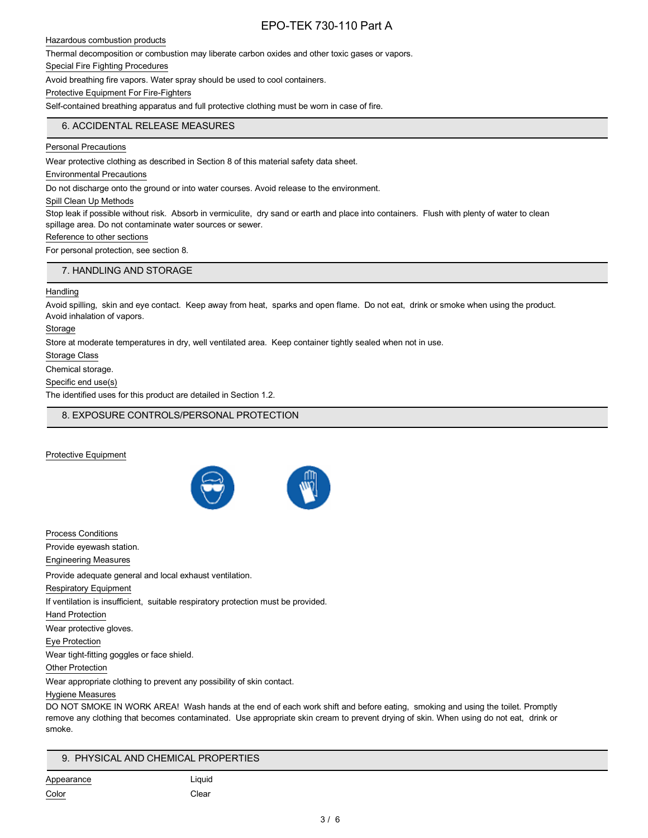Hazardous combustion products

Thermal decomposition or combustion may liberate carbon oxides and other toxic gases or vapors.

Special Fire Fighting Procedures

Avoid breathing fire vapors. Water spray should be used to cool containers.

Protective Equipment For Fire-Fighters

Self-contained breathing apparatus and full protective clothing must be worn in case of fire.

# 6. ACCIDENTAL RELEASE MEASURES

Personal Precautions

Wear protective clothing as described in Section 8 of this material safety data sheet.

Environmental Precautions

Do not discharge onto the ground or into water courses. Avoid release to the environment.

Spill Clean Up Methods

Stop leak if possible without risk. Absorb in vermiculite, dry sand or earth and place into containers. Flush with plenty of water to clean spillage area. Do not contaminate water sources or sewer.

### Reference to other sections

For personal protection, see section 8.

#### 7. HANDLING AND STORAGE

#### Handling

Avoid spilling, skin and eye contact. Keep away from heat, sparks and open flame. Do not eat, drink or smoke when using the product. Avoid inhalation of vapors.

Storage

Store at moderate temperatures in dry, well ventilated area. Keep container tightly sealed when not in use.

Storage Class

Chemical storage.

Specific end use(s)

The identified uses for this product are detailed in Section 1.2.

8. EXPOSURE CONTROLS/PERSONAL PROTECTION

Protective Equipment



Process Conditions Provide eyewash station. Engineering Measures Provide adequate general and local exhaust ventilation. Respiratory Equipment If ventilation is insufficient, suitable respiratory protection must be provided. Hand Protection Wear protective gloves. Eye Protection Wear tight-fitting goggles or face shield. Other Protection Wear appropriate clothing to prevent any possibility of skin contact. Hygiene Measures

DO NOT SMOKE IN WORK AREA! Wash hands at the end of each work shift and before eating, smoking and using the toilet. Promptly remove any clothing that becomes contaminated. Use appropriate skin cream to prevent drying of skin. When using do not eat, drink or smoke.

# 9. PHYSICAL AND CHEMICAL PROPERTIES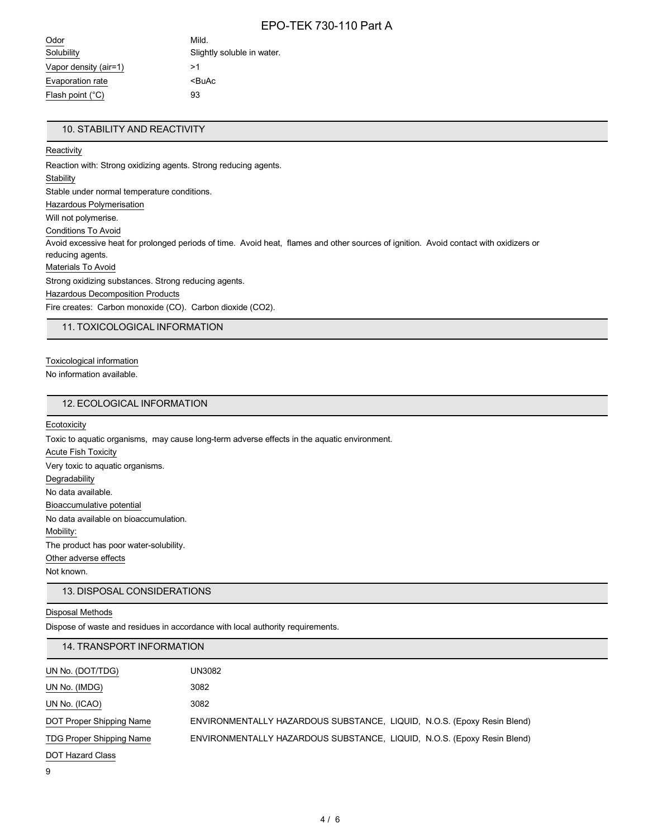| Odor                  | Mild.                      |
|-----------------------|----------------------------|
| Solubility            | Slightly soluble in water. |
| Vapor density (air=1) | >1                         |
| Evaporation rate      | <buac< td=""></buac<>      |
| Flash point (°C)      | 93                         |
|                       |                            |

# 10. STABILITY AND REACTIVITY

#### **Reactivity**

Reaction with: Strong oxidizing agents. Strong reducing agents. **Stability** Stable under normal temperature conditions. Hazardous Polymerisation Will not polymerise. Conditions To Avoid Avoid excessive heat for prolonged periods of time. Avoid heat, flames and other sources of ignition. Avoid contact with oxidizers or reducing agents. Materials To Avoid Strong oxidizing substances. Strong reducing agents. Hazardous Decomposition Products Fire creates: Carbon monoxide (CO). Carbon dioxide (CO2).

11. TOXICOLOGICAL INFORMATION

Toxicological information

No information available.

# 12. ECOLOGICAL INFORMATION

**Ecotoxicity** 

Toxic to aquatic organisms, may cause long-term adverse effects in the aquatic environment.

Acute Fish Toxicity Very toxic to aquatic organisms. **Degradability** No data available. Bioaccumulative potential No data available on bioaccumulation. Mobility: The product has poor water-solubility. Other adverse effects Not known.

13. DISPOSAL CONSIDERATIONS

### Disposal Methods

Dispose of waste and residues in accordance with local authority requirements.

### 14. TRANSPORT INFORMATION

| UN No. (DOT/TDG)                | UN3082                                                                  |
|---------------------------------|-------------------------------------------------------------------------|
| UN No. (IMDG)                   | 3082                                                                    |
| UN No. (ICAO)                   | 3082                                                                    |
| DOT Proper Shipping Name        | ENVIRONMENTALLY HAZARDOUS SUBSTANCE, LIQUID, N.O.S. (Epoxy Resin Blend) |
| <b>TDG Proper Shipping Name</b> | ENVIRONMENTALLY HAZARDOUS SUBSTANCE, LIQUID, N.O.S. (Epoxy Resin Blend) |
| DOT Hazard Class                |                                                                         |

<sup>9</sup>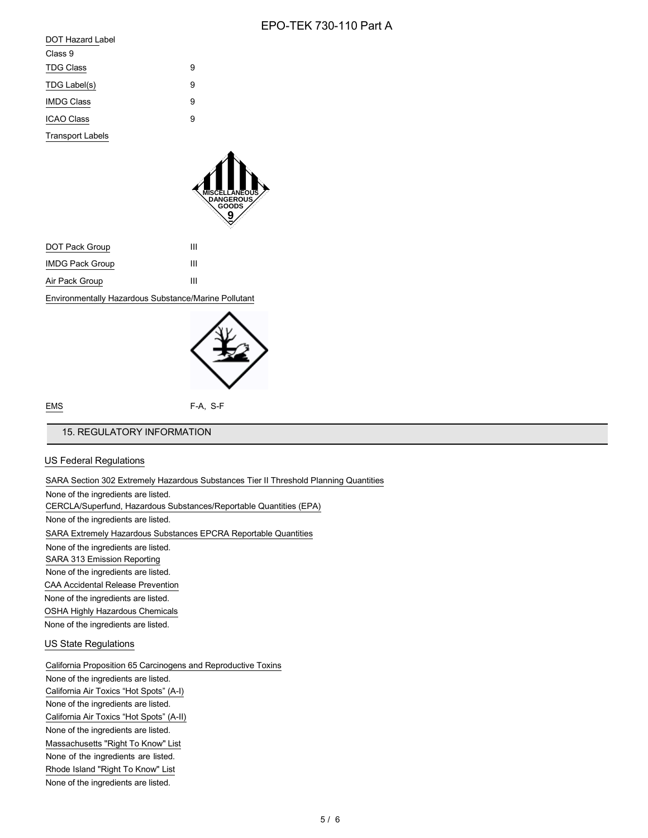| <b>DOT Hazard Label</b> |   |
|-------------------------|---|
| Class 9                 |   |
| <b>TDG Class</b>        | 9 |
| TDG Label(s)            | 9 |
| <b>IMDG Class</b>       | 9 |
| <b>ICAO Class</b>       | 9 |
| <b>Transport Labels</b> |   |



| DOT Pack Group                                       | ш |  |
|------------------------------------------------------|---|--|
| <b>IMDG Pack Group</b>                               | ш |  |
| Air Pack Group                                       | ш |  |
| Environmentally Hazardous Substance/Marine Pollutant |   |  |



EMS F-A, S-F

### 15. REGULATORY INFORMATION

### US Federal Regulations

#### SARA Section 302 Extremely Hazardous Substances Tier II Threshold Planning Quantities

None of the ingredients are listed.

### CERCLA/Superfund, Hazardous Substances/Reportable Quantities (EPA)

None of the ingredients are listed.

SARA Extremely Hazardous Substances EPCRA Reportable Quantities

None of the ingredients are listed.

SARA 313 Emission Reporting

None of the ingredients are listed.

CAA Accidental Release Prevention

None of the ingredients are listed.

OSHA Highly Hazardous Chemicals

None of the ingredients are listed.

### US State Regulations

California Proposition 65 Carcinogens and Reproductive Toxins

None of the ingredients are listed. California Air Toxics "Hot Spots" (A-I) None of the ingredients are listed. California Air Toxics "Hot Spots" (A-II) None of the ingredients are listed. Massachusetts "Right To Know" List None of the ingredients are listed. Rhode Island "Right To Know" List None of the ingredients are listed.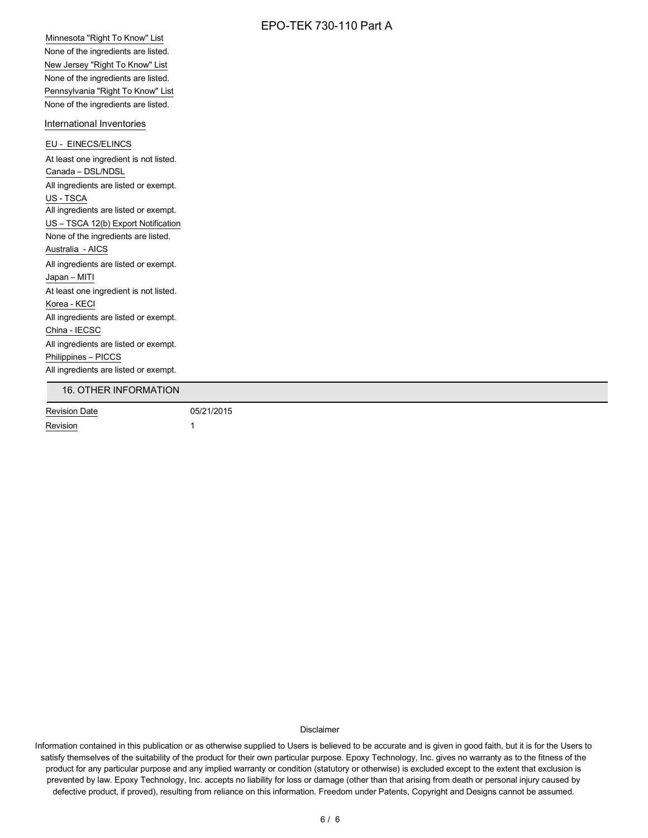Minnesota "Right To Know" List None of the ingredients are listed. New Jersey "Right To Know" List None of the ingredients are listed. Pennsylvania "Right To Know" List None of the ingredients are listed.

### International Inventories

EU - EINECS/ELINCS At least one ingredient is not listed. Canada – DSL/NDSL All ingredients are listed or exempt. US - TSCA All ingredients are listed or exempt. US – TSCA 12(b) Export Notification None of the ingredients are listed. Australia - AICS All ingredients are listed or exempt. Japan – MITI At least one ingredient is not listed. Korea - KECI All ingredients are listed or exempt. China - IECSC All ingredients are listed or exempt. Philippines – PICCS All ingredients are listed or exempt.

### 16. OTHER INFORMATION

Revision Date 05/21/2015 Revision 1

Disclaimer

Information contained in this publication or as otherwise supplied to Users is believed to be accurate and is given in good faith, but it is for the Users to satisfy themselves of the suitability of the product for their own particular purpose. Epoxy Technology, Inc. gives no warranty as to the fitness of the product for any particular purpose and any implied warranty or condition (statutory or otherwise) is excluded except to the extent that exclusion is prevented by law. Epoxy Technology, Inc. accepts no liability for loss or damage (other than that arising from death or personal injury caused by defective product, if proved), resulting from reliance on this information. Freedom under Patents, Copyright and Designs cannot be assumed.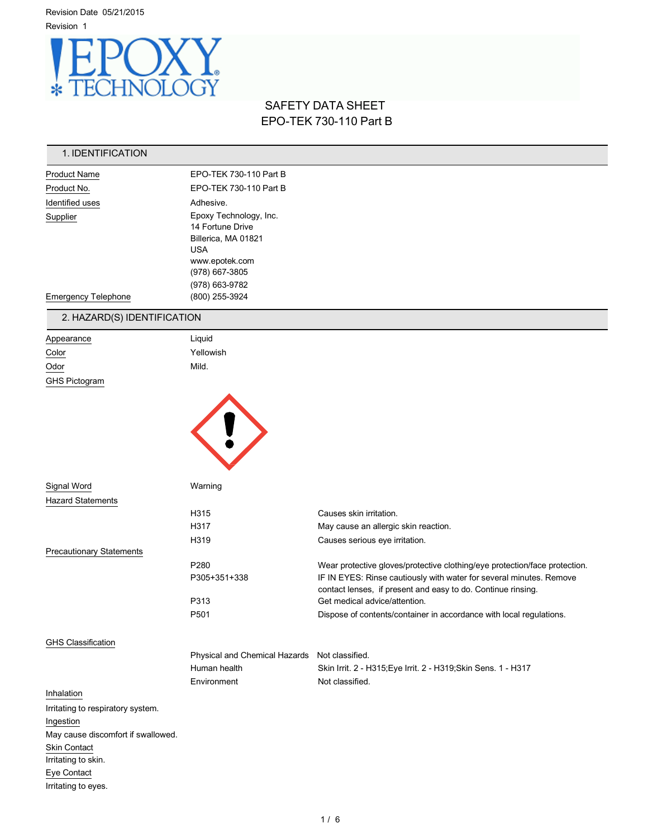

# SAFETY DATA SHEET EPO-TEK 730-110 Part B

# 1. IDENTIFICATION

| <b>Product Name</b>        | EPO-TEK 730-110 Part B                                                                                                                |  |
|----------------------------|---------------------------------------------------------------------------------------------------------------------------------------|--|
| Product No.                | EPO-TEK 730-110 Part B                                                                                                                |  |
| Identified uses            | Adhesive.                                                                                                                             |  |
| Supplier                   | Epoxy Technology, Inc.<br>14 Fortune Drive<br>Billerica, MA 01821<br><b>USA</b><br>www.epotek.com<br>(978) 667-3805<br>(978) 663-9782 |  |
| <b>Emergency Telephone</b> | (800) 255-3924                                                                                                                        |  |

# 2. HAZARD(S) IDENTIFICATION

| Appearance                      | Liquid                        |                                                                            |
|---------------------------------|-------------------------------|----------------------------------------------------------------------------|
| Color                           | Yellowish                     |                                                                            |
| Odor                            | Mild.                         |                                                                            |
| <b>GHS Pictogram</b>            |                               |                                                                            |
|                                 |                               |                                                                            |
|                                 |                               |                                                                            |
|                                 |                               |                                                                            |
|                                 |                               |                                                                            |
|                                 |                               |                                                                            |
|                                 |                               |                                                                            |
|                                 |                               |                                                                            |
| Signal Word                     | Warning                       |                                                                            |
| <b>Hazard Statements</b>        |                               |                                                                            |
|                                 | H315                          | Causes skin irritation.                                                    |
|                                 | H317                          | May cause an allergic skin reaction.                                       |
|                                 | H319                          | Causes serious eye irritation.                                             |
| <b>Precautionary Statements</b> |                               |                                                                            |
|                                 | P280                          | Wear protective gloves/protective clothing/eye protection/face protection. |
|                                 | P305+351+338                  | IF IN EYES: Rinse cautiously with water for several minutes. Remove        |
|                                 |                               | contact lenses, if present and easy to do. Continue rinsing.               |
|                                 | P313                          | Get medical advice/attention.                                              |
|                                 | P501                          | Dispose of contents/container in accordance with local regulations.        |
|                                 |                               |                                                                            |
| <b>GHS Classification</b>       |                               |                                                                            |
|                                 | Physical and Chemical Hazards | Not classified.                                                            |
|                                 | Human health                  | Skin Irrit. 2 - H315; Eye Irrit. 2 - H319; Skin Sens. 1 - H317             |

# Inhalation

Irritating to respiratory system. Ingestion May cause discomfort if swallowed. Skin Contact Irritating to skin. Eye Contact Irritating to eyes.

Environment Not classified.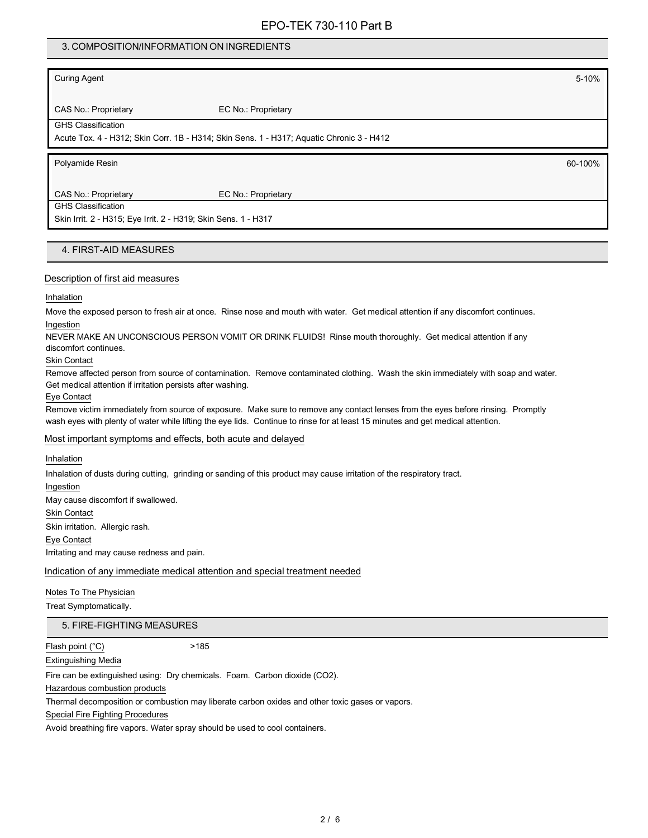# 3. COMPOSITION/INFORMATION ON INGREDIENTS

Curing Agent 5-10%

CAS No.: Proprietary EC No.: Proprietary

GHS Classification

Acute Tox. 4 - H312; Skin Corr. 1B - H314; Skin Sens. 1 - H317; Aquatic Chronic 3 - H412

Polyamide Resin 60-100%

CAS No.: Proprietary EC No.: Proprietary

GHS Classification

Skin Irrit. 2 - H315; Eye Irrit. 2 - H319; Skin Sens. 1 - H317

# 4. FIRST-AID MEASURES

#### Description of first aid measures

Inhalation

Move the exposed person to fresh air at once. Rinse nose and mouth with water. Get medical attention if any discomfort continues. Ingestion

NEVER MAKE AN UNCONSCIOUS PERSON VOMIT OR DRINK FLUIDS! Rinse mouth thoroughly. Get medical attention if any

discomfort continues.

Skin Contact

Remove affected person from source of contamination. Remove contaminated clothing. Wash the skin immediately with soap and water. Get medical attention if irritation persists after washing.

Eye Contact

Remove victim immediately from source of exposure. Make sure to remove any contact lenses from the eyes before rinsing. Promptly wash eyes with plenty of water while lifting the eye lids. Continue to rinse for at least 15 minutes and get medical attention.

### Most important symptoms and effects, both acute and delayed

Inhalation

Inhalation of dusts during cutting, grinding or sanding of this product may cause irritation of the respiratory tract.

Ingestion

May cause discomfort if swallowed. Skin Contact

Skin irritation. Allergic rash.

Eye Contact

Irritating and may cause redness and pain.

Indication of any immediate medical attention and special treatment needed

#### Notes To The Physician

Treat Symptomatically.

### 5. FIRE-FIGHTING MEASURES

Flash point (°C) >185

Extinguishing Media

Fire can be extinguished using: Dry chemicals. Foam. Carbon dioxide (CO2).

Hazardous combustion products

Thermal decomposition or combustion may liberate carbon oxides and other toxic gases or vapors.

Special Fire Fighting Procedures

Avoid breathing fire vapors. Water spray should be used to cool containers.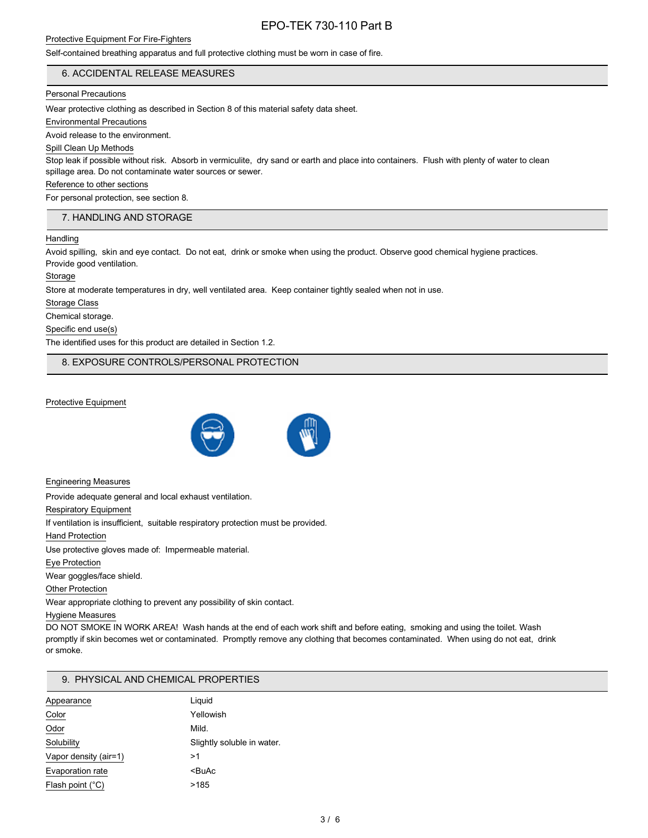### Self-contained breathing apparatus and full protective clothing must be worn in case of fire.

### 6. ACCIDENTAL RELEASE MEASURES

#### Personal Precautions

Wear protective clothing as described in Section 8 of this material safety data sheet.

Environmental Precautions

Avoid release to the environment.

#### Spill Clean Up Methods

Stop leak if possible without risk. Absorb in vermiculite, dry sand or earth and place into containers. Flush with plenty of water to clean spillage area. Do not contaminate water sources or sewer.

#### Reference to other sections

For personal protection, see section 8.

#### 7. HANDLING AND STORAGE

#### **Handling**

Avoid spilling, skin and eye contact. Do not eat, drink or smoke when using the product. Observe good chemical hygiene practices. Provide good ventilation.

Storage

Store at moderate temperatures in dry, well ventilated area. Keep container tightly sealed when not in use.

Storage Class

Chemical storage.

Specific end use(s)

The identified uses for this product are detailed in Section 1.2.

8. EXPOSURE CONTROLS/PERSONAL PROTECTION

#### Protective Equipment



Engineering Measures

Provide adequate general and local exhaust ventilation.

Respiratory Equipment

If ventilation is insufficient, suitable respiratory protection must be provided.

Hand Protection

Use protective gloves made of: Impermeable material.

Eye Protection

Wear goggles/face shield.

Other Protection

Wear appropriate clothing to prevent any possibility of skin contact.

#### Hygiene Measures

DO NOT SMOKE IN WORK AREA! Wash hands at the end of each work shift and before eating, smoking and using the toilet. Wash promptly if skin becomes wet or contaminated. Promptly remove any clothing that becomes contaminated. When using do not eat, drink or smoke.

### 9. PHYSICAL AND CHEMICAL PROPERTIES

| Appearance                | Liquid                     |
|---------------------------|----------------------------|
| Color                     | Yellowish                  |
| Odor                      | Mild.                      |
| Solubility                | Slightly soluble in water. |
| Vapor density (air=1)     | >1                         |
| Evaporation rate          | <buac< td=""></buac<>      |
| Flash point $(^{\circ}C)$ | >185                       |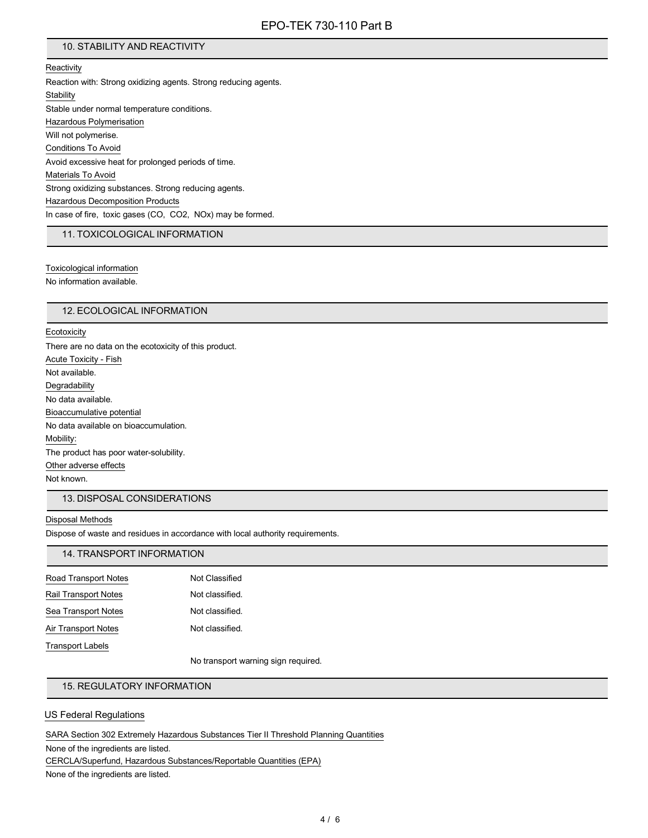# 10. STABILITY AND REACTIVITY

**Reactivity** Reaction with: Strong oxidizing agents. Strong reducing agents. **Stability** Stable under normal temperature conditions. Hazardous Polymerisation Will not polymerise. Conditions To Avoid Avoid excessive heat for prolonged periods of time. Materials To Avoid Strong oxidizing substances. Strong reducing agents. Hazardous Decomposition Products In case of fire, toxic gases (CO, CO2, NOx) may be formed.

#### 11. TOXICOLOGICAL INFORMATION

Toxicological information

No information available.

#### 12. ECOLOGICAL INFORMATION

#### **Ecotoxicity**

There are no data on the ecotoxicity of this product. Acute Toxicity - Fish Not available. **Degradability** No data available. Bioaccumulative potential No data available on bioaccumulation. Mobility: The product has poor water-solubility. Other adverse effects Not known.

# 13. DISPOSAL CONSIDERATIONS

#### Disposal Methods

Dispose of waste and residues in accordance with local authority requirements.

# 14. TRANSPORT INFORMATION

| Road Transport Notes | Not Classified  |
|----------------------|-----------------|
| Rail Transport Notes | Not classified. |
| Sea Transport Notes  | Not classified. |
| Air Transport Notes  | Not classified. |
| Transport Labels     |                 |

No transport warning sign required.

# 15. REGULATORY INFORMATION

#### US Federal Regulations

SARA Section 302 Extremely Hazardous Substances Tier II Threshold Planning Quantities

None of the ingredients are listed.

CERCLA/Superfund, Hazardous Substances/Reportable Quantities (EPA)

None of the ingredients are listed.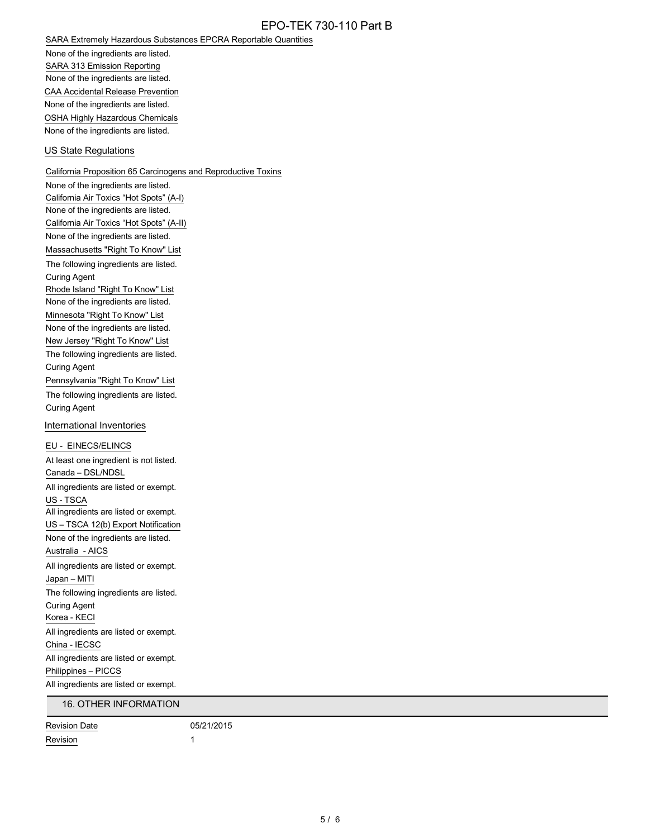SARA Extremely Hazardous Substances EPCRA Reportable Quantities

None of the ingredients are listed. SARA 313 Emission Reporting None of the ingredients are listed. CAA Accidental Release Prevention None of the ingredients are listed. OSHA Highly Hazardous Chemicals None of the ingredients are listed.

#### US State Regulations

California Proposition 65 Carcinogens and Reproductive Toxins None of the ingredients are listed. California Air Toxics "Hot Spots" (A-I) None of the ingredients are listed. California Air Toxics "Hot Spots" (A-II) None of the ingredients are listed. Massachusetts "Right To Know" List The following ingredients are listed. Curing Agent Rhode Island "Right To Know" List None of the ingredients are listed. Minnesota "Right To Know" List None of the ingredients are listed. New Jersey "Right To Know" List The following ingredients are listed. Curing Agent Pennsylvania "Right To Know" List The following ingredients are listed. Curing Agent International Inventories EU - EINECS/ELINCS At least one ingredient is not listed. Canada – DSL/NDSL All ingredients are listed or exempt. US - TSCA All ingredients are listed or exempt. US – TSCA 12(b) Export Notification None of the ingredients are listed. Australia - AICS All ingredients are listed or exempt. Japan – MITI The following ingredients are listed. Curing Agent Korea - KECI All ingredients are listed or exempt. China - IECSC All ingredients are listed or exempt. Philippines – PICCS All ingredients are listed or exempt. 16. OTHER INFORMATION

Revision Date 05/21/2015 Revision 1